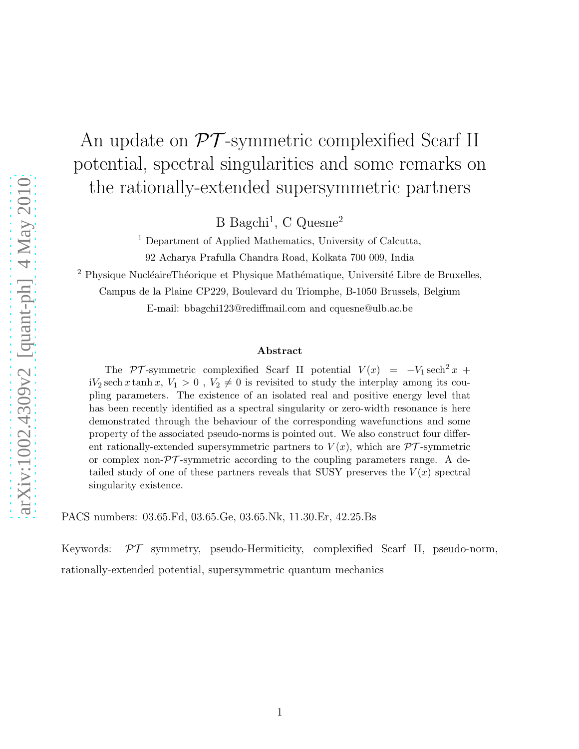# An update on  $\mathcal{PT}$ -symmetric complexified Scarf II potential, spectral singularities and some remarks on the rationally-extended supersymmetric partners

B Bagchi<sup>1</sup>, C Quesne<sup>2</sup>

<sup>1</sup> Department of Applied Mathematics, University of Calcutta, 92 Acharya Prafulla Chandra Road, Kolkata 700 009, India

<sup>2</sup> Physique NucléaireThéorique et Physique Mathématique, Université Libre de Bruxelles,

Campus de la Plaine CP229, Boulevard du Triomphe, B-1050 Brussels, Belgium

E-mail: bbagchi123@rediffmail.com and cquesne@ulb.ac.be

#### Abstract

The PT-symmetric complexified Scarf II potential  $V(x) = -V_1 \text{sech}^2 x +$  $iV_2$  sech x tanh x,  $V_1 > 0$ ,  $V_2 \neq 0$  is revisited to study the interplay among its coupling parameters. The existence of an isolated real and positive energy level that has been recently identified as a spectral singularity or zero-width resonance is here demonstrated through the behaviour of the corresponding wavefunctions and some property of the associated pseudo-norms is pointed out. We also construct four different rationally-extended supersymmetric partners to  $V(x)$ , which are  $\mathcal{PT}$ -symmetric or complex non- $\mathcal{PT}$ -symmetric according to the coupling parameters range. A detailed study of one of these partners reveals that SUSY preserves the  $V(x)$  spectral singularity existence.

PACS numbers: 03.65.Fd, 03.65.Ge, 03.65.Nk, 11.30.Er, 42.25.Bs

Keywords:  $\mathcal{PT}$  symmetry, pseudo-Hermiticity, complexified Scarf II, pseudo-norm, rationally-extended potential, supersymmetric quantum mechanics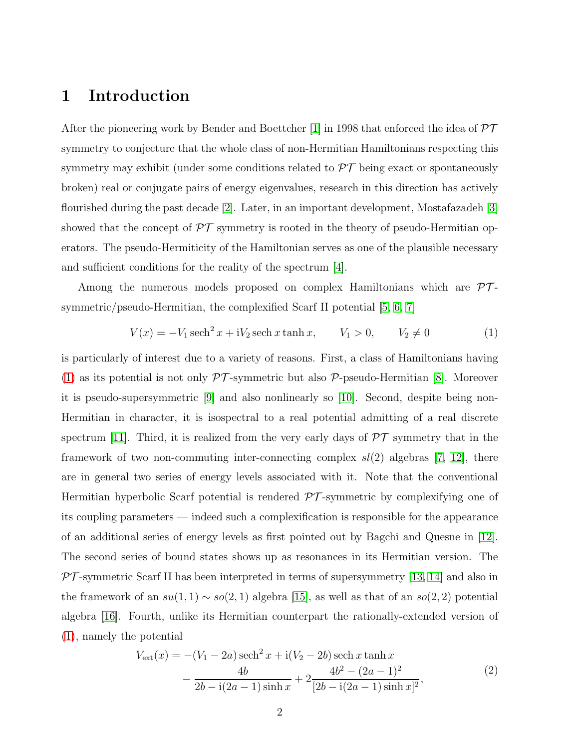### 1 Introduction

After the pioneering work by Bender and Boettcher [\[1\]](#page-12-0) in 1998 that enforced the idea of  $\mathcal{PT}$ symmetry to conjecture that the whole class of non-Hermitian Hamiltonians respecting this symmetry may exhibit (under some conditions related to  $\mathcal{PT}$  being exact or spontaneously broken) real or conjugate pairs of energy eigenvalues, research in this direction has actively flourished during the past decade [\[2\]](#page-12-1). Later, in an important development, Mostafazadeh [\[3\]](#page-12-2) showed that the concept of  $\mathcal{PT}$  symmetry is rooted in the theory of pseudo-Hermitian operators. The pseudo-Hermiticity of the Hamiltonian serves as one of the plausible necessary and sufficient conditions for the reality of the spectrum [\[4\]](#page-12-3).

Among the numerous models proposed on complex Hamiltonians which are  $\mathcal{PT}$ symmetric/pseudo-Hermitian, the complexified Scarf II potential [\[5,](#page-12-4) [6,](#page-12-5) [7\]](#page-12-6)

<span id="page-1-0"></span>
$$
V(x) = -V_1 \operatorname{sech}^2 x + iV_2 \operatorname{sech} x \tanh x, \qquad V_1 > 0, \qquad V_2 \neq 0 \tag{1}
$$

is particularly of interest due to a variety of reasons. First, a class of Hamiltonians having [\(1\)](#page-1-0) as its potential is not only  $\mathcal{PT}$ -symmetric but also  $\mathcal{P}$ -pseudo-Hermitian [\[8\]](#page-12-7). Moreover it is pseudo-supersymmetric [\[9\]](#page-12-8) and also nonlinearly so [\[10\]](#page-12-9). Second, despite being non-Hermitian in character, it is isospectral to a real potential admitting of a real discrete spectrum [\[11\]](#page-12-10). Third, it is realized from the very early days of  $\mathcal{PT}$  symmetry that in the framework of two non-commuting inter-connecting complex  $sl(2)$  algebras [\[7,](#page-12-6) [12\]](#page-12-11), there are in general two series of energy levels associated with it. Note that the conventional Hermitian hyperbolic Scarf potential is rendered  $\mathcal{PT}$ -symmetric by complexifying one of its coupling parameters — indeed such a complexification is responsible for the appearance of an additional series of energy levels as first pointed out by Bagchi and Quesne in [\[12\]](#page-12-11). The second series of bound states shows up as resonances in its Hermitian version. The  $\mathcal{PT}$ -symmetric Scarf II has been interpreted in terms of supersymmetry [\[13,](#page-12-12) [14\]](#page-12-13) and also in the framework of an  $su(1,1) \sim so(2,1)$  algebra [\[15\]](#page-12-14), as well as that of an  $so(2,2)$  potential algebra [\[16\]](#page-12-15). Fourth, unlike its Hermitian counterpart the rationally-extended version of [\(1\)](#page-1-0), namely the potential

<span id="page-1-1"></span>
$$
V_{\text{ext}}(x) = -(V_1 - 2a) \operatorname{sech}^2 x + i(V_2 - 2b) \operatorname{sech} x \tanh x - \frac{4b}{2b - i(2a - 1)\sinh x} + 2 \frac{4b^2 - (2a - 1)^2}{[2b - i(2a - 1)\sinh x]^2},
$$
(2)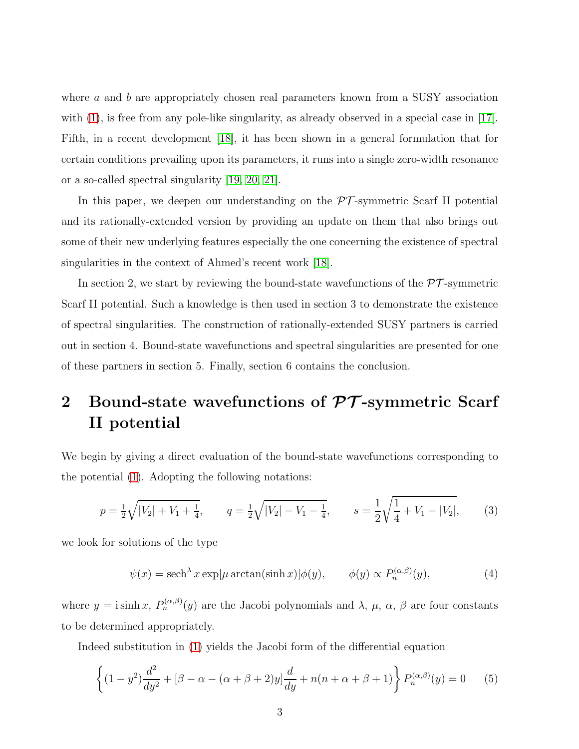where  $a$  and  $b$  are appropriately chosen real parameters known from a SUSY association with  $(1)$ , is free from any pole-like singularity, as already observed in a special case in [\[17\]](#page-12-16). Fifth, in a recent development [\[18\]](#page-12-17), it has been shown in a general formulation that for certain conditions prevailing upon its parameters, it runs into a single zero-width resonance or a so-called spectral singularity [\[19,](#page-12-18) [20,](#page-13-0) [21\]](#page-13-1).

In this paper, we deepen our understanding on the  $\mathcal{PT}$ -symmetric Scarf II potential and its rationally-extended version by providing an update on them that also brings out some of their new underlying features especially the one concerning the existence of spectral singularities in the context of Ahmed's recent work [\[18\]](#page-12-17).

In section 2, we start by reviewing the bound-state wavefunctions of the  $\mathcal{PT}$ -symmetric Scarf II potential. Such a knowledge is then used in section 3 to demonstrate the existence of spectral singularities. The construction of rationally-extended SUSY partners is carried out in section 4. Bound-state wavefunctions and spectral singularities are presented for one of these partners in section 5. Finally, section 6 contains the conclusion.

# 2 Bound-state wavefunctions of  $\mathcal{PT}$ -symmetric Scarf II potential

We begin by giving a direct evaluation of the bound-state wavefunctions corresponding to the potential [\(1\)](#page-1-0). Adopting the following notations:

<span id="page-2-0"></span>
$$
p = \frac{1}{2}\sqrt{|V_2| + V_1 + \frac{1}{4}}, \qquad q = \frac{1}{2}\sqrt{|V_2| - V_1 - \frac{1}{4}}, \qquad s = \frac{1}{2}\sqrt{\frac{1}{4} + V_1 - |V_2|}, \tag{3}
$$

we look for solutions of the type

$$
\psi(x) = \operatorname{sech}^{\lambda} x \exp[\mu \arctan(\sinh x)] \phi(y), \qquad \phi(y) \propto P_n^{(\alpha,\beta)}(y), \tag{4}
$$

where  $y = i \sinh x$ ,  $P_n^{(\alpha,\beta)}(y)$  are the Jacobi polynomials and  $\lambda$ ,  $\mu$ ,  $\alpha$ ,  $\beta$  are four constants to be determined appropriately.

Indeed substitution in [\(1\)](#page-1-0) yields the Jacobi form of the differential equation

$$
\left\{ (1 - y^2) \frac{d^2}{dy^2} + [\beta - \alpha - (\alpha + \beta + 2)y] \frac{d}{dy} + n(n + \alpha + \beta + 1) \right\} P_n^{(\alpha, \beta)}(y) = 0 \tag{5}
$$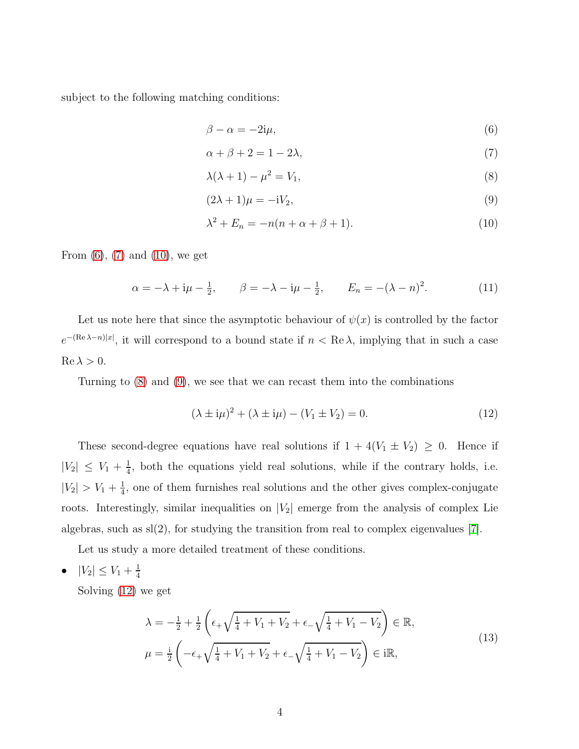subject to the following matching conditions:

<span id="page-3-1"></span><span id="page-3-0"></span>
$$
\beta - \alpha = -2i\mu,\tag{6}
$$

<span id="page-3-3"></span>
$$
\alpha + \beta + 2 = 1 - 2\lambda,\tag{7}
$$

<span id="page-3-4"></span>
$$
\lambda(\lambda + 1) - \mu^2 = V_1,\tag{8}
$$

$$
(2\lambda + 1)\mu = -iV_2,\tag{9}
$$

<span id="page-3-2"></span>
$$
\lambda^2 + E_n = -n(n + \alpha + \beta + 1). \tag{10}
$$

From  $(6)$ ,  $(7)$  and  $(10)$ , we get

<span id="page-3-6"></span>
$$
\alpha = -\lambda + i\mu - \frac{1}{2}, \qquad \beta = -\lambda - i\mu - \frac{1}{2}, \qquad E_n = -(\lambda - n)^2.
$$
 (11)

Let us note here that since the asymptotic behaviour of  $\psi(x)$  is controlled by the factor  $e^{-(\text{Re }\lambda-n)|x|}$ , it will correspond to a bound state if  $n < \text{Re }\lambda$ , implying that in such a case  $\operatorname{Re}\lambda > 0$ .

Turning to [\(8\)](#page-3-3) and [\(9\)](#page-3-4), we see that we can recast them into the combinations

<span id="page-3-5"></span>
$$
(\lambda \pm i\mu)^2 + (\lambda \pm i\mu) - (V_1 \pm V_2) = 0.
$$
 (12)

These second-degree equations have real solutions if  $1 + 4(V_1 \pm V_2) \geq 0$ . Hence if  $|V_2| \leq V_1 + \frac{1}{4}$  $\frac{1}{4}$ , both the equations yield real solutions, while if the contrary holds, i.e.  $|V_2| > V_1 + \frac{1}{4}$  $\frac{1}{4}$ , one of them furnishes real solutions and the other gives complex-conjugate roots. Interestingly, similar inequalities on  $|V_2|$  emerge from the analysis of complex Lie algebras, such as  $sl(2)$ , for studying the transition from real to complex eigenvalues [\[7\]](#page-12-6).

Let us study a more detailed treatment of these conditions.

•  $|V_2| \leq V_1 + \frac{1}{4}$ 4

<span id="page-3-7"></span>Solving [\(12\)](#page-3-5) we get

$$
\lambda = -\frac{1}{2} + \frac{1}{2} \left( \epsilon_+ \sqrt{\frac{1}{4} + V_1 + V_2} + \epsilon_- \sqrt{\frac{1}{4} + V_1 - V_2} \right) \in \mathbb{R},
$$
  
\n
$$
\mu = \frac{i}{2} \left( -\epsilon_+ \sqrt{\frac{1}{4} + V_1 + V_2} + \epsilon_- \sqrt{\frac{1}{4} + V_1 - V_2} \right) \in i\mathbb{R},
$$
\n(13)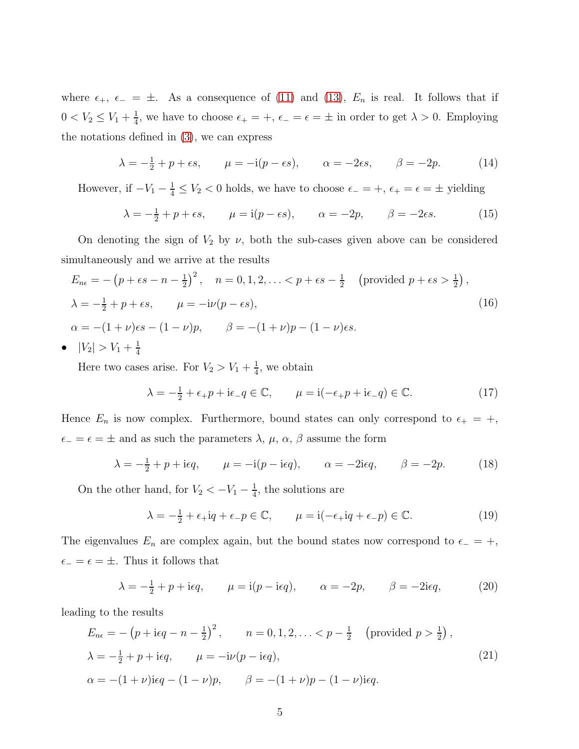where  $\epsilon_+$ ,  $\epsilon_- = \pm$ . As a consequence of [\(11\)](#page-3-6) and [\(13\)](#page-3-7),  $E_n$  is real. It follows that if  $0 < V_2 \leq V_1 + \frac{1}{4}$  $\frac{1}{4}$ , we have to choose  $\epsilon_+ = +$ ,  $\epsilon_- = \epsilon = \pm$  in order to get  $\lambda > 0$ . Employing the notations defined in [\(3\)](#page-2-0), we can express

$$
\lambda = -\frac{1}{2} + p + \epsilon s, \qquad \mu = -i(p - \epsilon s), \qquad \alpha = -2\epsilon s, \qquad \beta = -2p. \tag{14}
$$

However, if  $-V_1 - \frac{1}{4} \le V_2 < 0$  holds, we have to choose  $\epsilon_- = +$ ,  $\epsilon_+ = \epsilon = \pm$  yielding

$$
\lambda = -\frac{1}{2} + p + \epsilon s, \qquad \mu = \text{i}(p - \epsilon s), \qquad \alpha = -2p, \qquad \beta = -2\epsilon s. \tag{15}
$$

On denoting the sign of  $V_2$  by  $\nu$ , both the sub-cases given above can be considered simultaneously and we arrive at the results

<span id="page-4-1"></span>
$$
E_{n\epsilon} = -\left(p + \epsilon s - n - \frac{1}{2}\right)^2, \quad n = 0, 1, 2, \ldots < p + \epsilon s - \frac{1}{2} \quad \text{(provided } p + \epsilon s > \frac{1}{2}\text{)},
$$
\n
$$
\lambda = -\frac{1}{2} + p + \epsilon s, \qquad \mu = -i\nu(p - \epsilon s),
$$
\n
$$
\alpha = -(1 + \nu)\epsilon s - (1 - \nu)p, \qquad \beta = -(1 + \nu)p - (1 - \nu)\epsilon s.
$$
\n
$$
E_{n\epsilon} = \frac{1}{2} + \frac{1}{2} + \frac{1}{2} + \frac{1}{2} = -\frac{1}{2} + \frac{1}{2} = -\frac{1}{2} + \frac{1}{2} = -\frac{1}{2} + \frac{1}{2} = -\frac{1}{2} + \frac{1}{2} = -\frac{1}{2} + \frac{1}{2} = -\frac{1}{2} + \frac{1}{2} = -\frac{1}{2} + \frac{1}{2} = -\frac{1}{2} + \frac{1}{2} = -\frac{1}{2} + \frac{1}{2} = -\frac{1}{2} + \frac{1}{2} = -\frac{1}{2} + \frac{1}{2} = -\frac{1}{2} + \frac{1}{2} = -\frac{1}{2} + \frac{1}{2} = -\frac{1}{2} + \frac{1}{2} = -\frac{1}{2} + \frac{1}{2} = -\frac{1}{2} + \frac{1}{2} = -\frac{1}{2} + \frac{1}{2} = -\frac{1}{2} + \frac{1}{2} = -\frac{1}{2} + \frac{1}{2} = -\frac{1}{2} + \frac{1}{2} = -\frac{1}{2} + \frac{1}{2} = -\frac{1}{2} + \frac{1}{2} = -\frac{1}{2} + \frac{1}{2} = -\frac{1}{2} + \frac{1}{2} = -\frac{1}{2} = -\frac{1}{2} + \frac{1}{2} = -\frac{1}{2} = -\frac{1}{2} + \frac{1}{2} = -\frac{1}{2} = -\frac{1}{2} + \frac{1}{2} = -\frac{1}{2} = -\frac{1}{2} = -\frac{1}{2} = -\frac{1}{2} = -\frac{1}{2} = -
$$

•  $|V_2| > V_1 + \frac{1}{4}$ 4

> Here two cases arise. For  $V_2 > V_1 + \frac{1}{4}$  $\frac{1}{4}$ , we obtain

$$
\lambda = -\frac{1}{2} + \epsilon_+ p + i\epsilon_- q \in \mathbb{C}, \qquad \mu = i(-\epsilon_+ p + i\epsilon_- q) \in \mathbb{C}.
$$
 (17)

Hence  $E_n$  is now complex. Furthermore, bound states can only correspond to  $\epsilon_+ = +$ ,  $\epsilon_$  =  $\epsilon$  =  $\pm$  and as such the parameters  $\lambda$ ,  $\mu$ ,  $\alpha$ ,  $\beta$  assume the form

$$
\lambda = -\frac{1}{2} + p + i\epsilon q, \qquad \mu = -i(p - i\epsilon q), \qquad \alpha = -2i\epsilon q, \qquad \beta = -2p.
$$
\n(18)

On the other hand, for  $V_2 < -V_1 - \frac{1}{4}$  $\frac{1}{4}$ , the solutions are

$$
\lambda = -\frac{1}{2} + \epsilon_+ i q + \epsilon_- p \in \mathbb{C}, \qquad \mu = i(-\epsilon_+ i q + \epsilon_- p) \in \mathbb{C}.
$$
 (19)

The eigenvalues  $E_n$  are complex again, but the bound states now correspond to  $\epsilon_$  = +,  $\epsilon_-=\epsilon=\pm$ . Thus it follows that

$$
\lambda = -\frac{1}{2} + p + i\epsilon q, \qquad \mu = i(p - i\epsilon q), \qquad \alpha = -2p, \qquad \beta = -2i\epsilon q, \tag{20}
$$

leading to the results

<span id="page-4-0"></span>
$$
E_{n\epsilon} = -\left(p + \text{i}\epsilon q - n - \frac{1}{2}\right)^2, \qquad n = 0, 1, 2, \ldots < p - \frac{1}{2} \quad \text{(provided } p > \frac{1}{2}\text{)},
$$
\n
$$
\lambda = -\frac{1}{2} + p + \text{i}\epsilon q, \qquad \mu = -\text{i}\nu(p - \text{i}\epsilon q),
$$
\n
$$
\alpha = -(1 + \nu)\text{i}\epsilon q - (1 - \nu)p, \qquad \beta = -(1 + \nu)p - (1 - \nu)\text{i}\epsilon q.
$$
\n
$$
(21)
$$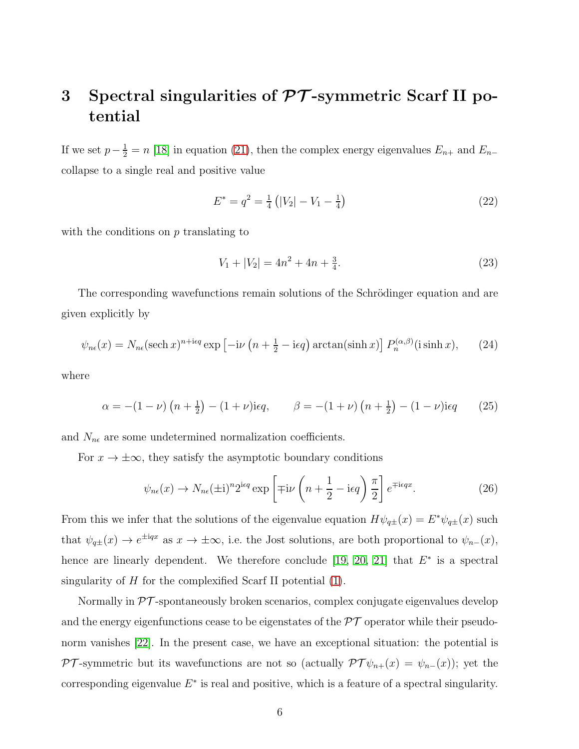# 3 Spectral singularities of  $\mathcal{PT}$ -symmetric Scarf II potential

If we set  $p-\frac{1}{2}=n$  [\[18\]](#page-12-17) in equation [\(21\)](#page-4-0), then the complex energy eigenvalues  $E_{n+}$  and  $E_{n-}$ collapse to a single real and positive value

<span id="page-5-0"></span>
$$
E^* = q^2 = \frac{1}{4} \left( |V_2| - V_1 - \frac{1}{4} \right) \tag{22}
$$

with the conditions on  $p$  translating to

<span id="page-5-1"></span>
$$
V_1 + |V_2| = 4n^2 + 4n + \frac{3}{4}.\tag{23}
$$

The corresponding wavefunctions remain solutions of the Schrödinger equation and are given explicitly by

$$
\psi_{n\epsilon}(x) = N_{n\epsilon}(\text{sech } x)^{n+\text{i}\epsilon q} \exp\left[-i\nu\left(n+\frac{1}{2}-\text{i}\epsilon q\right)\arctan(\sinh x)\right] P_n^{(\alpha,\beta)}(\text{i}\sinh x),\tag{24}
$$

where

$$
\alpha = -(1 - \nu) \left( n + \frac{1}{2} \right) - (1 + \nu) i\epsilon q, \qquad \beta = -(1 + \nu) \left( n + \frac{1}{2} \right) - (1 - \nu) i\epsilon q \tag{25}
$$

and  $N_{n\epsilon}$  are some undetermined normalization coefficients.

For  $x \to \pm \infty$ , they satisfy the asymptotic boundary conditions

$$
\psi_{n\epsilon}(x) \to N_{n\epsilon}(\pm i)^n 2^{\text{ieq}} \exp\left[\mp i\nu\left(n+\frac{1}{2}-i\epsilon q\right)\frac{\pi}{2}\right] e^{\mp i\epsilon qx}.\tag{26}
$$

From this we infer that the solutions of the eigenvalue equation  $H\psi_{q\pm}(x) = E^*\psi_{q\pm}(x)$  such that  $\psi_{q\pm}(x) \to e^{\pm iqx}$  as  $x \to \pm \infty$ , i.e. the Jost solutions, are both proportional to  $\psi_{n-}(x)$ , hence are linearly dependent. We therefore conclude [\[19,](#page-12-18) [20,](#page-13-0) [21\]](#page-13-1) that  $E^*$  is a spectral singularity of  $H$  for the complexified Scarf II potential  $(1)$ .

Normally in PT -spontaneously broken scenarios, complex conjugate eigenvalues develop and the energy eigenfunctions cease to be eigenstates of the  $\mathcal{PT}$  operator while their pseudo-norm vanishes [\[22\]](#page-13-2). In the present case, we have an exceptional situation: the potential is PT-symmetric but its wavefunctions are not so (actually  $\mathcal{PT}\psi_{n+}(x) = \psi_{n-}(x)$ ); yet the corresponding eigenvalue  $E^*$  is real and positive, which is a feature of a spectral singularity.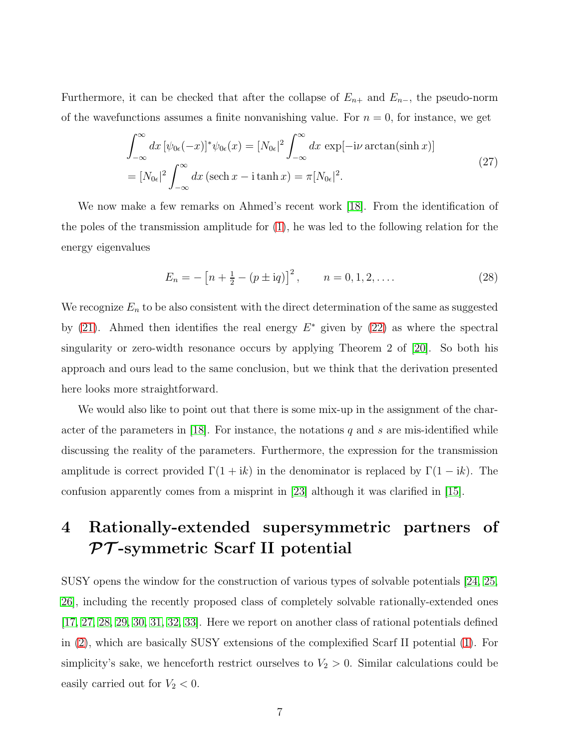Furthermore, it can be checked that after the collapse of  $E_{n+}$  and  $E_{n-}$ , the pseudo-norm of the wavefunctions assumes a finite nonvanishing value. For  $n = 0$ , for instance, we get

$$
\int_{-\infty}^{\infty} dx \left[ \psi_{0\epsilon}(-x) \right]^* \psi_{0\epsilon}(x) = \left[ N_{0\epsilon} \right]^2 \int_{-\infty}^{\infty} dx \, \exp[-i\nu \arctan(\sinh x)]
$$
\n
$$
= \left[ N_{0\epsilon} \right]^2 \int_{-\infty}^{\infty} dx \, (\operatorname{sech} x - i \tanh x) = \pi \left[ N_{0\epsilon} \right]^2. \tag{27}
$$

We now make a few remarks on Ahmed's recent work [\[18\]](#page-12-17). From the identification of the poles of the transmission amplitude for [\(1\)](#page-1-0), he was led to the following relation for the energy eigenvalues

$$
E_n = -\left[n + \frac{1}{2} - (p \pm \mathrm{i} q)\right]^2, \qquad n = 0, 1, 2, \dots
$$
 (28)

We recognize  $E_n$  to be also consistent with the direct determination of the same as suggested by [\(21\)](#page-4-0). Ahmed then identifies the real energy  $E^*$  given by [\(22\)](#page-5-0) as where the spectral singularity or zero-width resonance occurs by applying Theorem 2 of [\[20\]](#page-13-0). So both his approach and ours lead to the same conclusion, but we think that the derivation presented here looks more straightforward.

We would also like to point out that there is some mix-up in the assignment of the char-acter of the parameters in [\[18\]](#page-12-17). For instance, the notations q and s are mis-identified while discussing the reality of the parameters. Furthermore, the expression for the transmission amplitude is correct provided  $\Gamma(1 + ik)$  in the denominator is replaced by  $\Gamma(1 - ik)$ . The confusion apparently comes from a misprint in [\[23\]](#page-13-3) although it was clarified in [\[15\]](#page-12-14).

## 4 Rationally-extended supersymmetric partners of  $PT$ -symmetric Scarf II potential

SUSY opens the window for the construction of various types of solvable potentials [\[24,](#page-13-4) [25,](#page-13-5) [26\]](#page-13-6), including the recently proposed class of completely solvable rationally-extended ones [\[17,](#page-12-16) [27,](#page-13-7) [28,](#page-13-8) [29,](#page-13-9) [30,](#page-13-10) [31,](#page-13-11) [32,](#page-13-12) [33\]](#page-13-13). Here we report on another class of rational potentials defined in [\(2\)](#page-1-1), which are basically SUSY extensions of the complexified Scarf II potential [\(1\)](#page-1-0). For simplicity's sake, we henceforth restrict ourselves to  $V_2 > 0$ . Similar calculations could be easily carried out for  $V_2 < 0$ .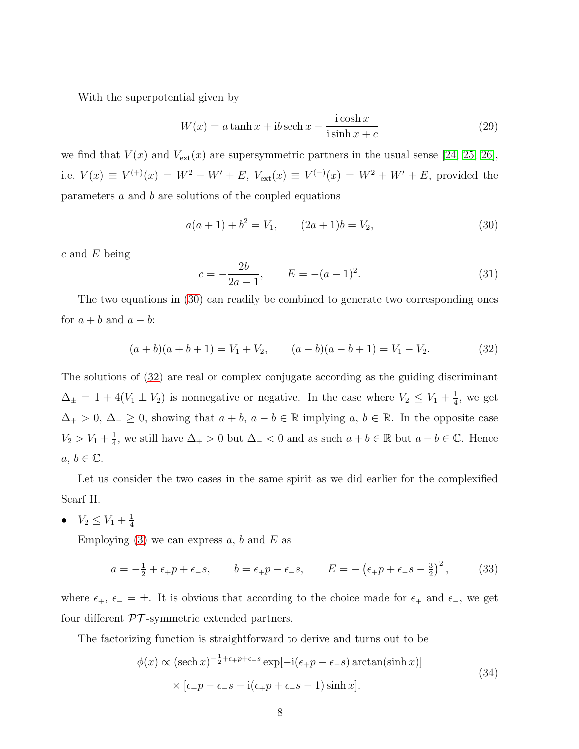With the superpotential given by

$$
W(x) = a \tanh x + ib \operatorname{sech} x - \frac{\operatorname{i} \cosh x}{\operatorname{i} \sinh x + c}
$$
 (29)

we find that  $V(x)$  and  $V_{\text{ext}}(x)$  are supersymmetric partners in the usual sense [\[24,](#page-13-4) [25,](#page-13-5) [26\]](#page-13-6), i.e.  $V(x) \equiv V^{(+)}(x) = W^2 - W' + E$ ,  $V_{ext}(x) \equiv V^{(-)}(x) = W^2 + W' + E$ , provided the parameters a and b are solutions of the coupled equations

<span id="page-7-0"></span>
$$
a(a+1) + b2 = V1, \t(2a+1)b = V2, \t(30)
$$

 $c$  and  $E$  being

$$
c = -\frac{2b}{2a - 1}, \qquad E = -(a - 1)^2. \tag{31}
$$

The two equations in [\(30\)](#page-7-0) can readily be combined to generate two corresponding ones for  $a + b$  and  $a - b$ :

<span id="page-7-1"></span>
$$
(a+b)(a+b+1) = V_1 + V_2, \qquad (a-b)(a-b+1) = V_1 - V_2. \tag{32}
$$

The solutions of [\(32\)](#page-7-1) are real or complex conjugate according as the guiding discriminant  $\Delta_{\pm} = 1 + 4(V_1 \pm V_2)$  is nonnegative or negative. In the case where  $V_2 \leq V_1 + \frac{1}{4}$  $\frac{1}{4}$ , we get  $\Delta_+ > 0, \Delta_- \geq 0$ , showing that  $a + b, a - b \in \mathbb{R}$  implying  $a, b \in \mathbb{R}$ . In the opposite case  $V_2 > V_1 + \frac{1}{4}$  $\frac{1}{4}$ , we still have  $\Delta_+ > 0$  but  $\Delta_- < 0$  and as such  $a + b \in \mathbb{R}$  but  $a - b \in \mathbb{C}$ . Hence  $a, b \in \mathbb{C}$ .

Let us consider the two cases in the same spirit as we did earlier for the complexified Scarf II.

•  $V_2 \leq V_1 + \frac{1}{4}$ 4

Employing  $(3)$  we can express a, b and E as

$$
a = -\frac{1}{2} + \epsilon_+ p + \epsilon_- s, \qquad b = \epsilon_+ p - \epsilon_- s, \qquad E = -\left(\epsilon_+ p + \epsilon_- s - \frac{3}{2}\right)^2,\tag{33}
$$

where  $\epsilon_+$ ,  $\epsilon_- = \pm$ . It is obvious that according to the choice made for  $\epsilon_+$  and  $\epsilon_-$ , we get four different  $\mathcal{PT}$ -symmetric extended partners.

The factorizing function is straightforward to derive and turns out to be

$$
\phi(x) \propto (\text{sech } x)^{-\frac{1}{2} + \epsilon_+ p + \epsilon_- s} \exp[-i(\epsilon_+ p - \epsilon_- s) \arctan(\sinh x)]
$$
  
 
$$
\times [\epsilon_+ p - \epsilon_- s - i(\epsilon_+ p + \epsilon_- s - 1) \sinh x].
$$
 (34)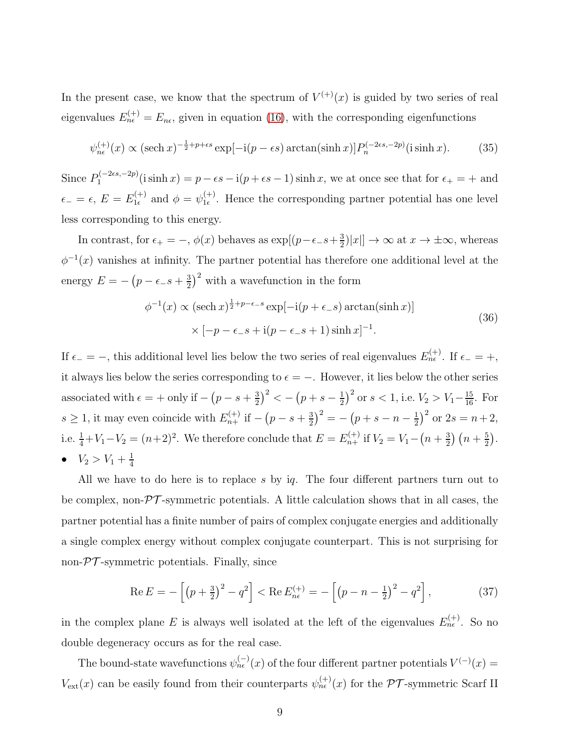In the present case, we know that the spectrum of  $V^{(+)}(x)$  is guided by two series of real eigenvalues  $E_{n\epsilon}^{(+)} = E_{n\epsilon}$ , given in equation [\(16\)](#page-4-1), with the corresponding eigenfunctions

$$
\psi_{n\epsilon}^{(+)}(x) \propto (\text{sech } x)^{-\frac{1}{2} + p + \epsilon s} \exp[-i(p - \epsilon s) \arctan(\sinh x)] P_n^{(-2\epsilon s, -2p)}(\text{i} \sinh x). \tag{35}
$$

Since  $P_1^{(-2\epsilon s, -2p)}$  $j_1^{(-2\epsilon s, -2p)}$  (i sinh  $x$ ) =  $p - \epsilon s - i(p + \epsilon s - 1)$  sinh x, we at once see that for  $\epsilon_+ = +$  and  $\epsilon_- = \epsilon, \, E = E_{1\epsilon}^{(+)}$  $y_{1\epsilon}^{(+)}$  and  $\phi = \psi_{1\epsilon}^{(+)}$  $\mathcal{L}_{1\epsilon}^{(+)}$ . Hence the corresponding partner potential has one level less corresponding to this energy.

In contrast, for  $\epsilon_+ = -$ ,  $\phi(x)$  behaves as  $\exp[(p-\epsilon_-\epsilon+\frac{3}{2})]$  $\frac{3}{2}$ |x|]  $\rightarrow \infty$  at  $x \rightarrow \pm \infty$ , whereas  $\phi^{-1}(x)$  vanishes at infinity. The partner potential has therefore one additional level at the energy  $E = -\left(p - \epsilon_-\hat{s} + \frac{3}{2}\right)$  $\frac{3}{2}$ )<sup>2</sup> with a wavefunction in the form

$$
\phi^{-1}(x) \propto (\text{sech } x)^{\frac{1}{2} + p - \epsilon - s} \exp[-i(p + \epsilon_{-} s) \arctan(\sinh x)]
$$
  
 
$$
\times [-p - \epsilon_{-} s + i(p - \epsilon_{-} s + 1) \sinh x]^{-1}.
$$
 (36)

If  $\epsilon_$  = −, this additional level lies below the two series of real eigenvalues  $E_{n\epsilon}^{(+)}$ . If  $\epsilon_$  = +, it always lies below the series corresponding to  $\epsilon = -$ . However, it lies below the other series associated with  $\epsilon = +$  only if  $-(p - s + \frac{3}{2})$  $\left(\frac{3}{2}\right)^2 < -\left(p+s-\frac{1}{2}\right)$  $(\frac{1}{2})^2$  or  $s < 1$ , i.e.  $V_2 > V_1 - \frac{15}{16}$ . For  $s \geq 1$ , it may even coincide with  $E_{n+}^{(+)}$  if  $-(p-s+\frac{3}{2})$  $\left(\frac{3}{2}\right)^2 = -\left(p+s-n-\frac{1}{2}\right)$  $(\frac{1}{2})^2$  or  $2s = n + 2$ , i.e.  $\frac{1}{4} + V_1 - V_2 = (n+2)^2$ . We therefore conclude that  $E = E_{n+1}^{(+)}$  if  $V_2 = V_1 - (n+\frac{3}{2})$  $\frac{3}{2}$  $\left(n+\frac{5}{2}\right)$  $\frac{5}{2}$ . •  $V_2 > V_1 + \frac{1}{4}$ 4

All we have to do here is to replace s by iq. The four different partners turn out to be complex, non- $\mathcal{PT}$ -symmetric potentials. A little calculation shows that in all cases, the partner potential has a finite number of pairs of complex conjugate energies and additionally a single complex energy without complex conjugate counterpart. This is not surprising for non- $\mathcal{PT}$ -symmetric potentials. Finally, since

$$
\operatorname{Re} E = -\left[ \left( p + \frac{3}{2} \right)^2 - q^2 \right] < \operatorname{Re} E_{n\epsilon}^{(+)} = -\left[ \left( p - n - \frac{1}{2} \right)^2 - q^2 \right],\tag{37}
$$

in the complex plane E is always well isolated at the left of the eigenvalues  $E_{n\epsilon}^{(+)}$ . So no double degeneracy occurs as for the real case.

The bound-state wavefunctions  $\psi_{n\epsilon}^{(-)}(x)$  of the four different partner potentials  $V^{(-)}(x)$  =  $V_{\text{ext}}(x)$  can be easily found from their counterparts  $\psi_{n\epsilon}^{(+)}(x)$  for the PT-symmetric Scarf II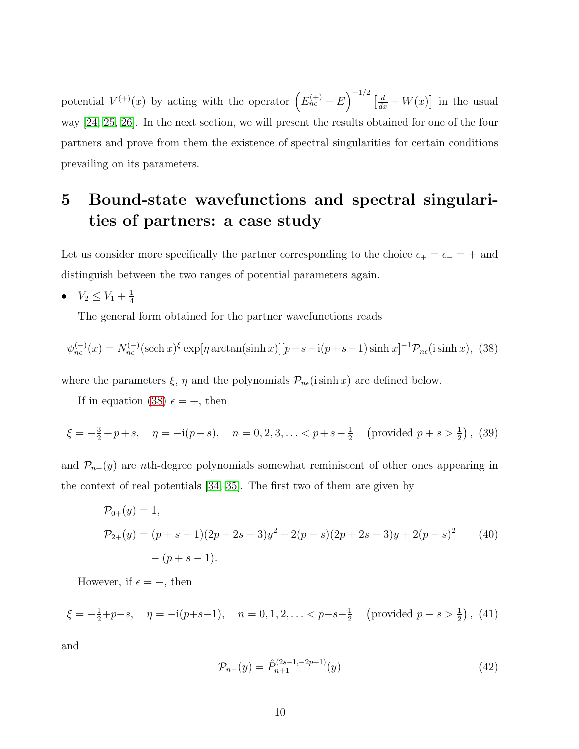potential  $V^{(+)}(x)$  by acting with the operator  $\left(E_{n\epsilon}^{(+)}-E\right)^{-1/2}\left[\frac{d}{dx}+W(x)\right]$  in the usual way [\[24,](#page-13-4) [25,](#page-13-5) [26\]](#page-13-6). In the next section, we will present the results obtained for one of the four partners and prove from them the existence of spectral singularities for certain conditions prevailing on its parameters.

# 5 Bound-state wavefunctions and spectral singularities of partners: a case study

Let us consider more specifically the partner corresponding to the choice  $\epsilon_+ = \epsilon_- = +$  and distinguish between the two ranges of potential parameters again.

•  $V_2 \leq V_1 + \frac{1}{4}$ 4

The general form obtained for the partner wavefunctions reads

<span id="page-9-0"></span>
$$
\psi_{n\epsilon}^{(-)}(x) = N_{n\epsilon}^{(-)}(\text{sech }x)^{\xi} \exp[\eta \arctan(\sinh x)][p-s-\mathrm{i}(p+s-1)\sinh x]^{-1} \mathcal{P}_{n\epsilon}(\sinh x), \tag{38}
$$

where the parameters  $\xi$ ,  $\eta$  and the polynomials  $\mathcal{P}_{n\epsilon}$ (isinh x) are defined below.

If in equation [\(38\)](#page-9-0)  $\epsilon = +$ , then

$$
\xi = -\frac{3}{2} + p + s, \quad \eta = -\mathbf{i}(p - s), \quad n = 0, 2, 3, \dots < p + s - \frac{1}{2} \quad \text{(provided } p + s > \frac{1}{2}\text{)}, \tag{39}
$$

and  $\mathcal{P}_{n+}(y)$  are *n*th-degree polynomials somewhat reminiscent of other ones appearing in the context of real potentials [\[34,](#page-13-14) [35\]](#page-13-15). The first two of them are given by

$$
\mathcal{P}_{0+}(y) = 1,
$$
  
\n
$$
\mathcal{P}_{2+}(y) = (p+s-1)(2p+2s-3)y^2 - 2(p-s)(2p+2s-3)y + 2(p-s)^2
$$
 (40)  
\n
$$
-(p+s-1).
$$

However, if  $\epsilon = -$ , then

$$
\xi = -\frac{1}{2} + p - s, \quad \eta = -i(p+s-1), \quad n = 0, 1, 2, \ldots < p-s-\frac{1}{2} \quad \text{(provided } p-s > \frac{1}{2}\text{)}, \tag{41}
$$

and

<span id="page-9-1"></span>
$$
\mathcal{P}_{n-}(y) = \hat{P}_{n+1}^{(2s-1,-2p+1)}(y)
$$
\n(42)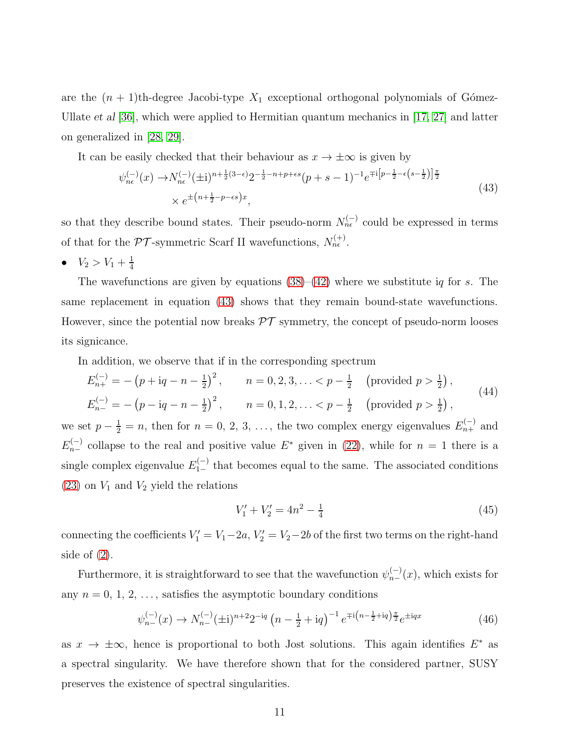are the  $(n + 1)$ th-degree Jacobi-type  $X_1$  exceptional orthogonal polynomials of Gómez-Ullate *et al* [\[36\]](#page-13-16), which were applied to Hermitian quantum mechanics in [\[17,](#page-12-16) [27\]](#page-13-7) and latter on generalized in [\[28,](#page-13-8) [29\]](#page-13-9).

<span id="page-10-0"></span>It can be easily checked that their behaviour as  $x \to \pm \infty$  is given by

$$
\psi_{n\epsilon}^{(-)}(x) \to N_{n\epsilon}^{(-)}(\pm i)^{n+\frac{1}{2}(3-\epsilon)} 2^{-\frac{1}{2}-n+p+\epsilon s} (p+s-1)^{-1} e^{\mp i \left[ p-\frac{1}{2}-\epsilon \left(s-\frac{1}{2}\right) \right] \frac{\pi}{2}} \times e^{\pm \left( n+\frac{1}{2}-p-\epsilon s \right) x},\tag{43}
$$

so that they describe bound states. Their pseudo-norm  $N_{n\epsilon}^{(-)}$  could be expressed in terms of that for the  $\mathcal{PT}$ -symmetric Scarf II wavefunctions,  $N_{ne}^{(+)}$ .

•  $V_2 > V_1 + \frac{1}{4}$ 4

The wavefunctions are given by equations  $(38)$ – $(42)$  where we substitute iq for s. The same replacement in equation [\(43\)](#page-10-0) shows that they remain bound-state wavefunctions. However, since the potential now breaks  $\mathcal{PT}$  symmetry, the concept of pseudo-norm looses its signicance.

In addition, we observe that if in the corresponding spectrum

$$
E_{n+}^{(-)} = -(p + iq - n - \frac{1}{2})^{2}, \qquad n = 0, 2, 3, \ldots < p - \frac{1}{2} \quad \text{(provided } p > \frac{1}{2}\text{)},
$$
\n
$$
E_{n-}^{(-)} = -(p - iq - n - \frac{1}{2})^{2}, \qquad n = 0, 1, 2, \ldots < p - \frac{1}{2} \quad \text{(provided } p > \frac{1}{2}\text{)},
$$
\n
$$
(44)
$$

we set  $p - \frac{1}{2} = n$ , then for  $n = 0, 2, 3, \ldots$ , the two complex energy eigenvalues  $E_{n+}^{(-)}$  and  $E_{n-}^{(-)}$  collapse to the real and positive value  $E^*$  given in [\(22\)](#page-5-0), while for  $n = 1$  there is a single complex eigenvalue  $E_{1-}^{(-)}$  that becomes equal to the same. The associated conditions  $(23)$  on  $V_1$  and  $V_2$  yield the relations

$$
V_1' + V_2' = 4n^2 - \frac{1}{4}
$$
\n<sup>(45)</sup>

connecting the coefficients  $V'_1 = V_1 - 2a$ ,  $V'_2 = V_2 - 2b$  of the first two terms on the right-hand side of  $(2)$ .

Furthermore, it is straightforward to see that the wavefunction  $\psi_{n-}^{(-)}(x)$ , which exists for any  $n = 0, 1, 2, \ldots$ , satisfies the asymptotic boundary conditions

$$
\psi_{n-}^{(-)}(x) \to N_{n-}^{(-)}(\pm i)^{n+2} 2^{-iq} \left( n - \frac{1}{2} + iq \right)^{-1} e^{\mp i \left( n - \frac{1}{2} + iq \right) \frac{\pi}{2}} e^{\pm iqx}
$$
(46)

as  $x \to \pm \infty$ , hence is proportional to both Jost solutions. This again identifies  $E^*$  as a spectral singularity. We have therefore shown that for the considered partner, SUSY preserves the existence of spectral singularities.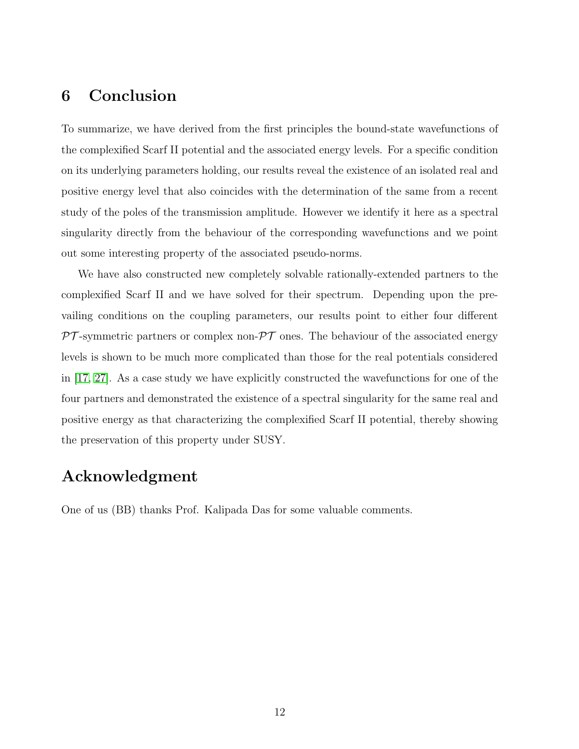#### 6 Conclusion

To summarize, we have derived from the first principles the bound-state wavefunctions of the complexified Scarf II potential and the associated energy levels. For a specific condition on its underlying parameters holding, our results reveal the existence of an isolated real and positive energy level that also coincides with the determination of the same from a recent study of the poles of the transmission amplitude. However we identify it here as a spectral singularity directly from the behaviour of the corresponding wavefunctions and we point out some interesting property of the associated pseudo-norms.

We have also constructed new completely solvable rationally-extended partners to the complexified Scarf II and we have solved for their spectrum. Depending upon the prevailing conditions on the coupling parameters, our results point to either four different  $\mathcal{PT}$ -symmetric partners or complex non- $\mathcal{PT}$  ones. The behaviour of the associated energy levels is shown to be much more complicated than those for the real potentials considered in [\[17,](#page-12-16) [27\]](#page-13-7). As a case study we have explicitly constructed the wavefunctions for one of the four partners and demonstrated the existence of a spectral singularity for the same real and positive energy as that characterizing the complexified Scarf II potential, thereby showing the preservation of this property under SUSY.

#### Acknowledgment

One of us (BB) thanks Prof. Kalipada Das for some valuable comments.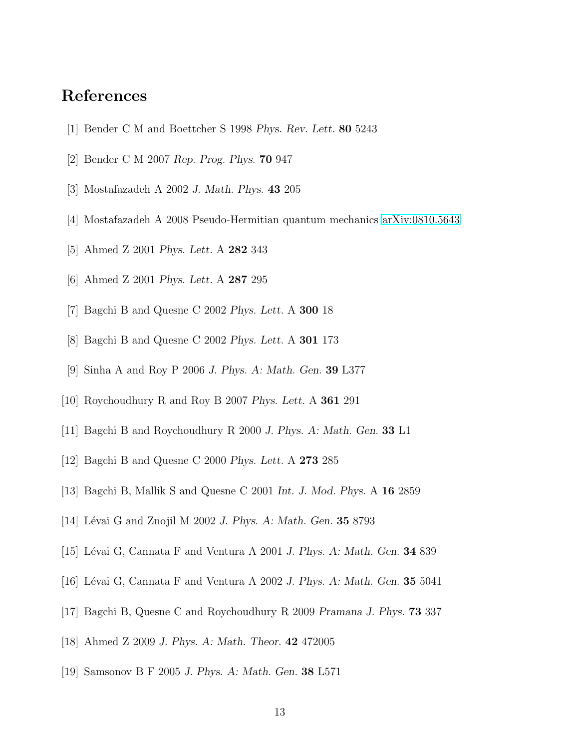#### <span id="page-12-0"></span>References

- <span id="page-12-1"></span>[1] Bender C M and Boettcher S 1998 *Phys. Rev. Lett.* 80 5243
- <span id="page-12-2"></span>[2] Bender C M 2007 *Rep. Prog. Phys.* 70 947
- <span id="page-12-3"></span>[3] Mostafazadeh A 2002 *J. Math. Phys.* 43 205
- <span id="page-12-4"></span>[4] Mostafazadeh A 2008 Pseudo-Hermitian quantum mechanics [arXiv:0810.5643](http://arxiv.org/abs/0810.5643)
- <span id="page-12-5"></span>[5] Ahmed Z 2001 *Phys. Lett.* A 282 343
- <span id="page-12-6"></span>[6] Ahmed Z 2001 *Phys. Lett.* A 287 295
- <span id="page-12-7"></span>[7] Bagchi B and Quesne C 2002 *Phys. Lett.* A 300 18
- <span id="page-12-8"></span>[8] Bagchi B and Quesne C 2002 *Phys. Lett.* A 301 173
- <span id="page-12-9"></span>[9] Sinha A and Roy P 2006 *J. Phys. A: Math. Gen.* 39 L377
- <span id="page-12-10"></span>[10] Roychoudhury R and Roy B 2007 *Phys. Lett.* A 361 291
- <span id="page-12-11"></span>[11] Bagchi B and Roychoudhury R 2000 *J. Phys. A: Math. Gen.* 33 L1
- <span id="page-12-12"></span>[12] Bagchi B and Quesne C 2000 *Phys. Lett.* A 273 285
- <span id="page-12-13"></span>[13] Bagchi B, Mallik S and Quesne C 2001 *Int. J. Mod. Phys.* A 16 2859
- <span id="page-12-14"></span>[14] Lévai G and Znojil M 2002 *J. Phys. A: Math. Gen.* **35** 8793
- <span id="page-12-15"></span>[15] Lévai G, Cannata F and Ventura A 2001 *J. Phys. A: Math. Gen.* **34** 839
- <span id="page-12-16"></span>[16] L´evai G, Cannata F and Ventura A 2002 *J. Phys. A: Math. Gen.* 35 5041
- <span id="page-12-17"></span>[17] Bagchi B, Quesne C and Roychoudhury R 2009 *Pramana J. Phys.* 73 337
- <span id="page-12-18"></span>[18] Ahmed Z 2009 *J. Phys. A: Math. Theor.* 42 472005
- [19] Samsonov B F 2005 *J. Phys. A: Math. Gen.* 38 L571